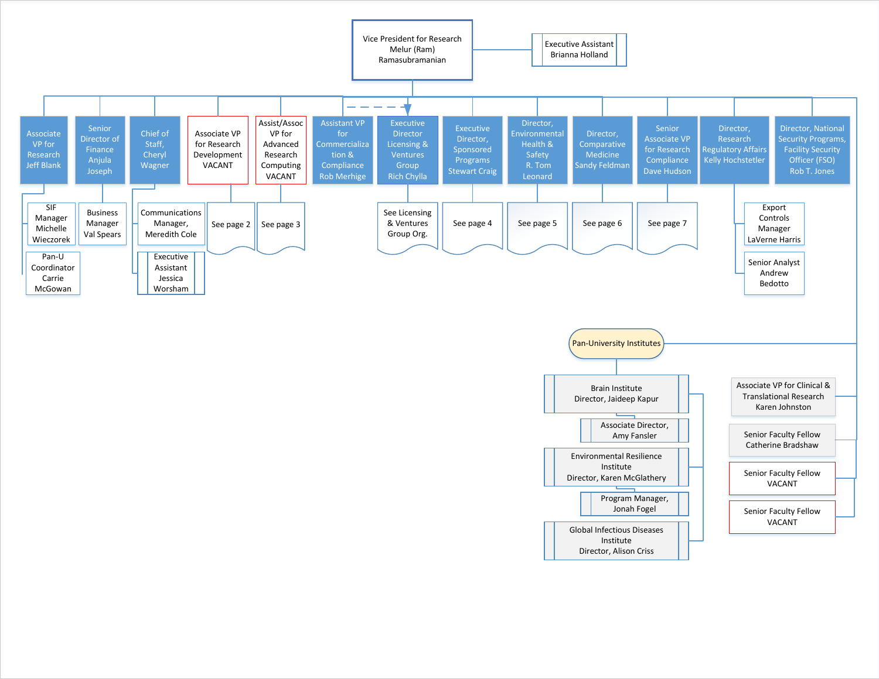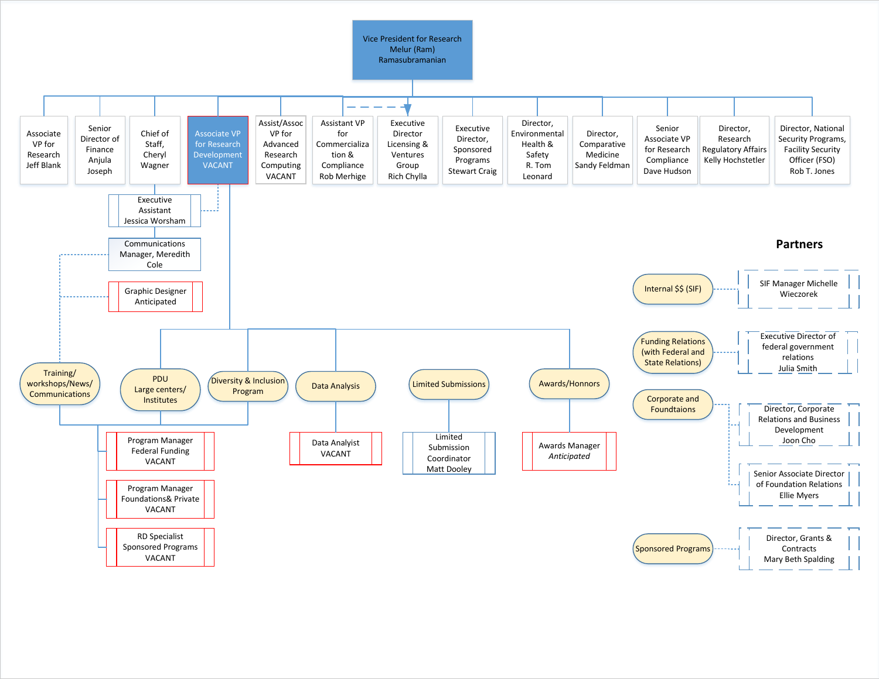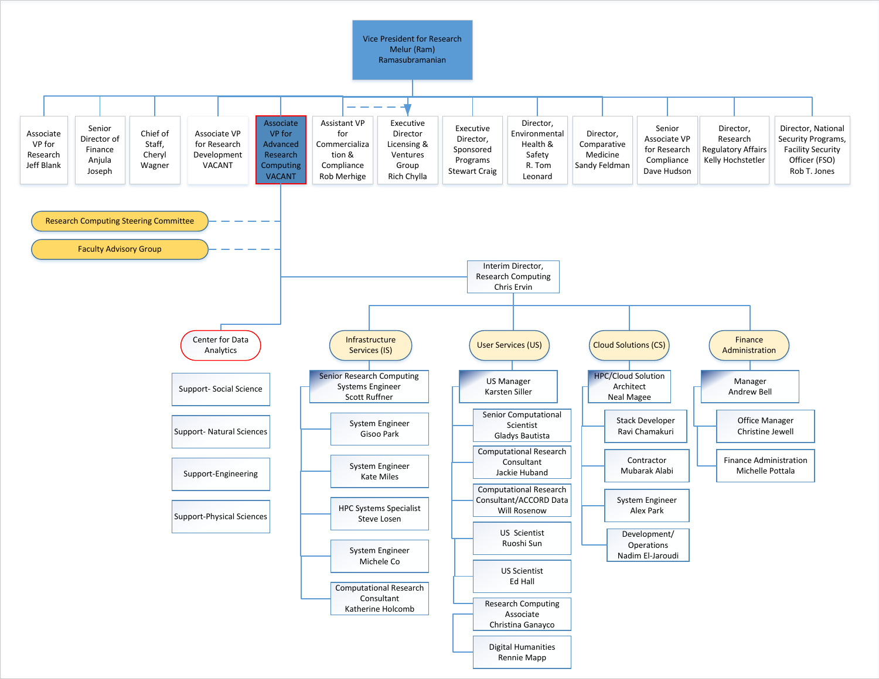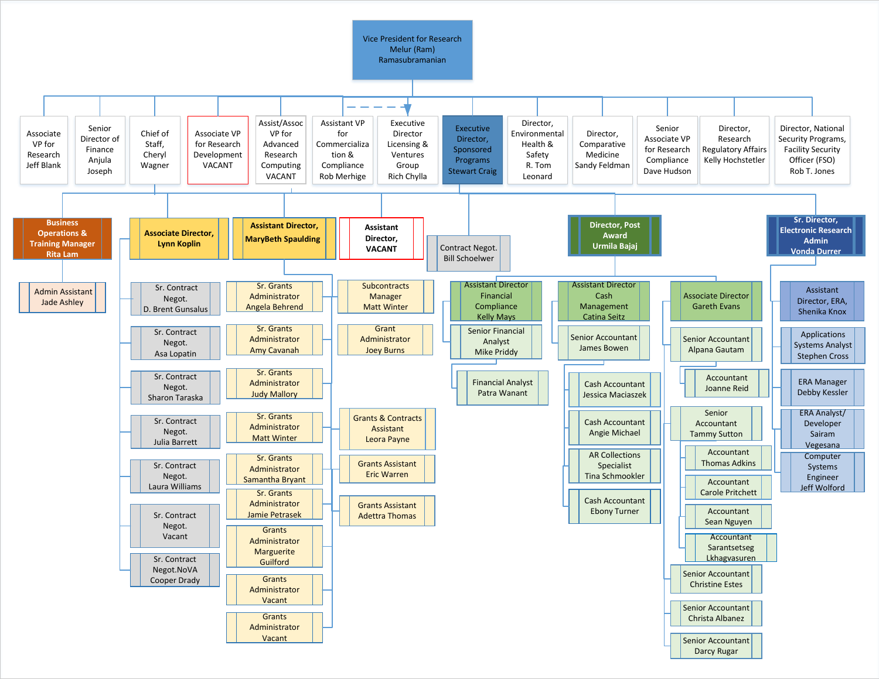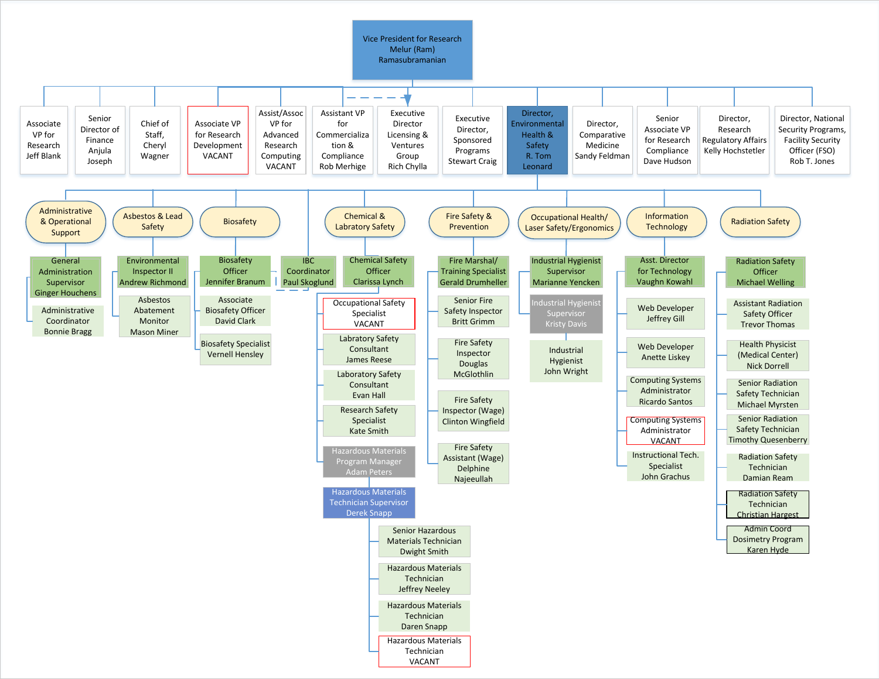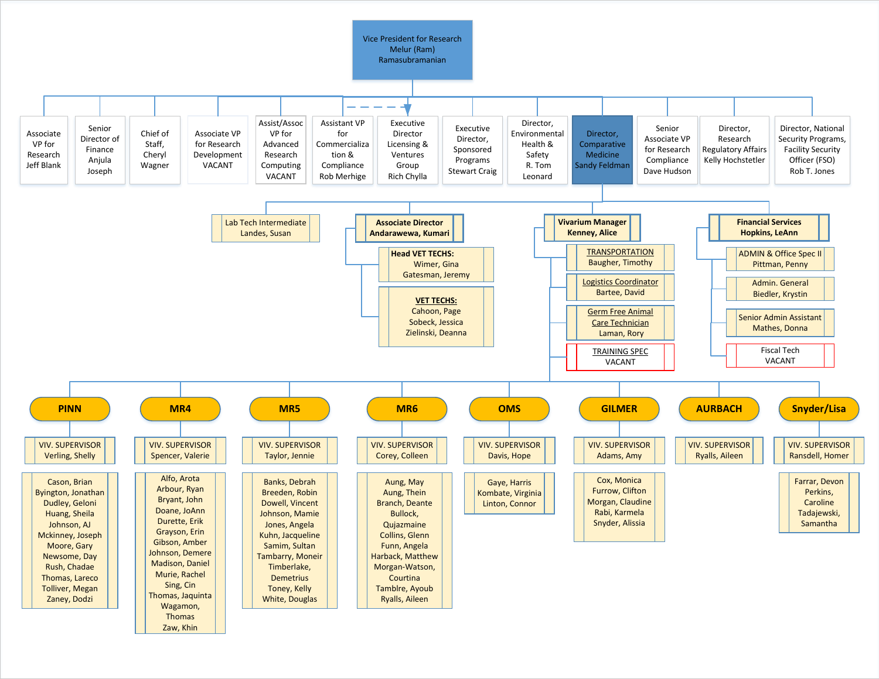